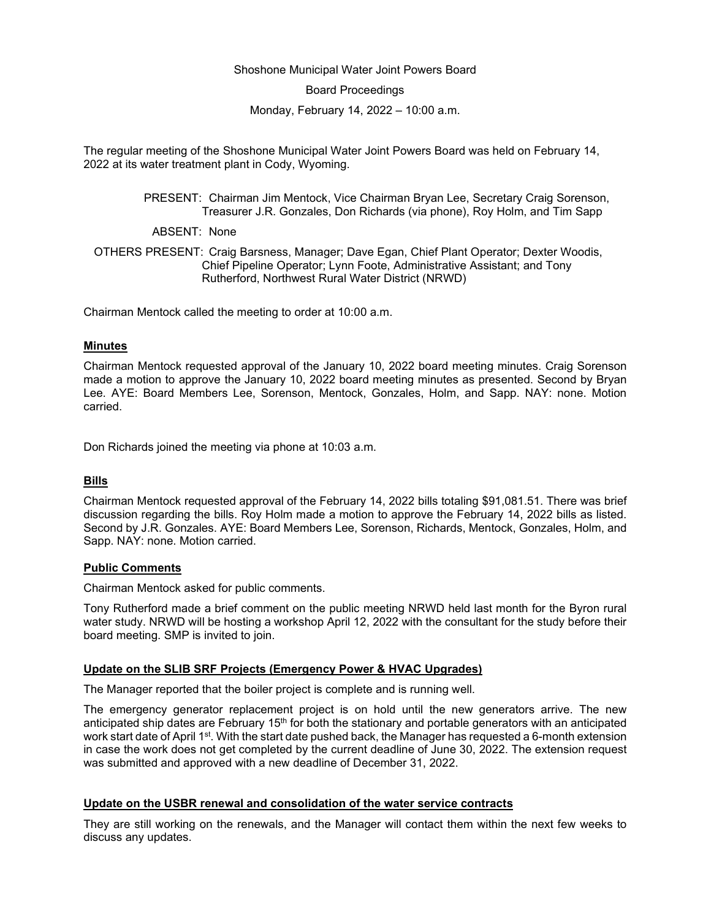#### Shoshone Municipal Water Joint Powers Board

Board Proceedings

Monday, February 14, 2022 – 10:00 a.m.

The regular meeting of the Shoshone Municipal Water Joint Powers Board was held on February 14, 2022 at its water treatment plant in Cody, Wyoming.

> PRESENT: Chairman Jim Mentock, Vice Chairman Bryan Lee, Secretary Craig Sorenson, Treasurer J.R. Gonzales, Don Richards (via phone), Roy Holm, and Tim Sapp

ABSENT: None

OTHERS PRESENT: Craig Barsness, Manager; Dave Egan, Chief Plant Operator; Dexter Woodis, Chief Pipeline Operator; Lynn Foote, Administrative Assistant; and Tony Rutherford, Northwest Rural Water District (NRWD)

Chairman Mentock called the meeting to order at 10:00 a.m.

#### **Minutes**

Chairman Mentock requested approval of the January 10, 2022 board meeting minutes. Craig Sorenson made a motion to approve the January 10, 2022 board meeting minutes as presented. Second by Bryan Lee. AYE: Board Members Lee, Sorenson, Mentock, Gonzales, Holm, and Sapp. NAY: none. Motion carried.

Don Richards joined the meeting via phone at 10:03 a.m.

## **Bills**

Chairman Mentock requested approval of the February 14, 2022 bills totaling \$91,081.51. There was brief discussion regarding the bills. Roy Holm made a motion to approve the February 14, 2022 bills as listed. Second by J.R. Gonzales. AYE: Board Members Lee, Sorenson, Richards, Mentock, Gonzales, Holm, and Sapp. NAY: none. Motion carried.

#### **Public Comments**

Chairman Mentock asked for public comments.

Tony Rutherford made a brief comment on the public meeting NRWD held last month for the Byron rural water study. NRWD will be hosting a workshop April 12, 2022 with the consultant for the study before their board meeting. SMP is invited to join.

## **Update on the SLIB SRF Projects (Emergency Power & HVAC Upgrades)**

The Manager reported that the boiler project is complete and is running well.

The emergency generator replacement project is on hold until the new generators arrive. The new anticipated ship dates are February 15<sup>th</sup> for both the stationary and portable generators with an anticipated work start date of April 1<sup>st</sup>. With the start date pushed back, the Manager has requested a 6-month extension in case the work does not get completed by the current deadline of June 30, 2022. The extension request was submitted and approved with a new deadline of December 31, 2022.

## **Update on the USBR renewal and consolidation of the water service contracts**

They are still working on the renewals, and the Manager will contact them within the next few weeks to discuss any updates.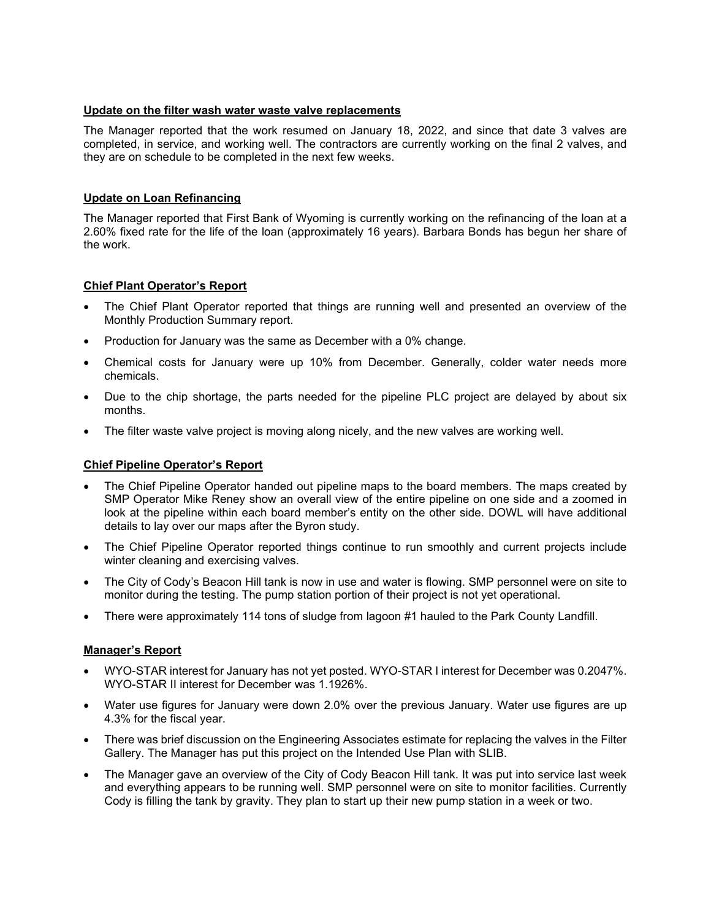# **Update on the filter wash water waste valve replacements**

The Manager reported that the work resumed on January 18, 2022, and since that date 3 valves are completed, in service, and working well. The contractors are currently working on the final 2 valves, and they are on schedule to be completed in the next few weeks.

# **Update on Loan Refinancing**

The Manager reported that First Bank of Wyoming is currently working on the refinancing of the loan at a 2.60% fixed rate for the life of the loan (approximately 16 years). Barbara Bonds has begun her share of the work.

# **Chief Plant Operator's Report**

- The Chief Plant Operator reported that things are running well and presented an overview of the Monthly Production Summary report.
- Production for January was the same as December with a 0% change.
- Chemical costs for January were up 10% from December. Generally, colder water needs more chemicals.
- Due to the chip shortage, the parts needed for the pipeline PLC project are delayed by about six months.
- The filter waste valve project is moving along nicely, and the new valves are working well.

## **Chief Pipeline Operator's Report**

- The Chief Pipeline Operator handed out pipeline maps to the board members. The maps created by SMP Operator Mike Reney show an overall view of the entire pipeline on one side and a zoomed in look at the pipeline within each board member's entity on the other side. DOWL will have additional details to lay over our maps after the Byron study.
- The Chief Pipeline Operator reported things continue to run smoothly and current projects include winter cleaning and exercising valves.
- The City of Cody's Beacon Hill tank is now in use and water is flowing. SMP personnel were on site to monitor during the testing. The pump station portion of their project is not yet operational.
- There were approximately 114 tons of sludge from lagoon #1 hauled to the Park County Landfill.

## **Manager's Report**

- WYO-STAR interest for January has not yet posted. WYO-STAR I interest for December was 0.2047%. WYO-STAR II interest for December was 1.1926%.
- Water use figures for January were down 2.0% over the previous January. Water use figures are up 4.3% for the fiscal year.
- There was brief discussion on the Engineering Associates estimate for replacing the valves in the Filter Gallery. The Manager has put this project on the Intended Use Plan with SLIB.
- The Manager gave an overview of the City of Cody Beacon Hill tank. It was put into service last week and everything appears to be running well. SMP personnel were on site to monitor facilities. Currently Cody is filling the tank by gravity. They plan to start up their new pump station in a week or two.